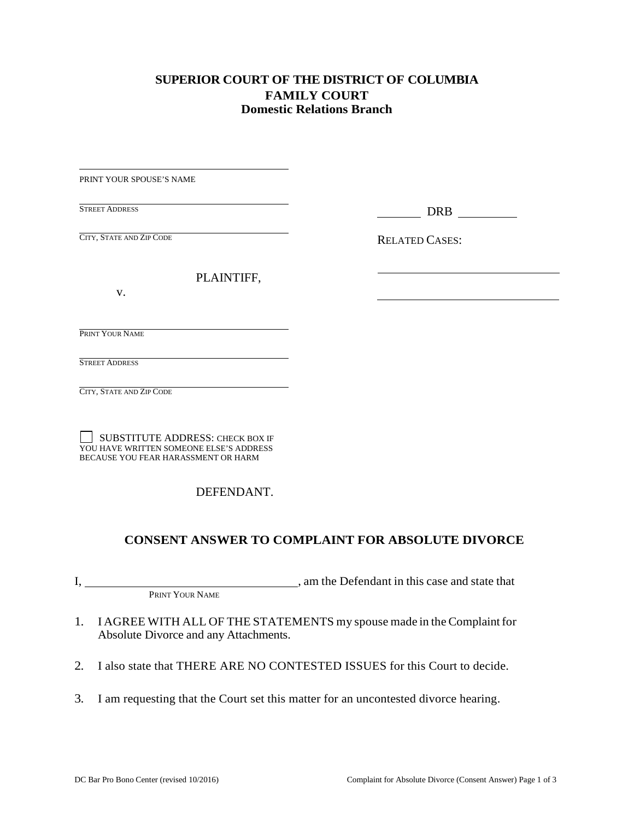# **SUPERIOR COURT OF THE DISTRICT OF COLUMBIA FAMILY COURT Domestic Relations Branch**

| PRINT YOUR SPOUSE'S NAME                                                                                           |                       |
|--------------------------------------------------------------------------------------------------------------------|-----------------------|
| the control of the control of the control of the control of<br><b>STREET ADDRESS</b>                               | <b>DRB</b>            |
| CITY, STATE AND ZIP CODE                                                                                           | <b>RELATED CASES:</b> |
| PLAINTIFF,                                                                                                         |                       |
| V.                                                                                                                 |                       |
| PRINT YOUR NAME                                                                                                    |                       |
| the control of the control of the control of the control of the control of the control of<br><b>STREET ADDRESS</b> |                       |
| CITY, STATE AND ZIP CODE                                                                                           |                       |
|                                                                                                                    |                       |

 SUBSTITUTE ADDRESS: CHECK BOX IF SUBSTITUTE ADDRESS: CHECK BOX IF YOU HAVE WRITTEN SOMEONE ELSE'S ADDRESS BECAUSE YOU FEAR HARASSMENT OR HARM

# DEFENDANT.

# **CONSENT ANSWER TO COMPLAINT FOR ABSOLUTE DIVORCE**

 $\mathbf{I},$ I, am the Defendant in this case and state that PRINT YOUR NAME

- 1. I AGREE WITH ALL OF THE STATEMENTS my spouse made in the Complaint for Absolute Divorce and any Attachments.
- 2. I also state that THERE ARE NO CONTESTED ISSUES for this Court to decide.
- 3. I am requesting that the Court set this matter for an uncontested divorce hearing.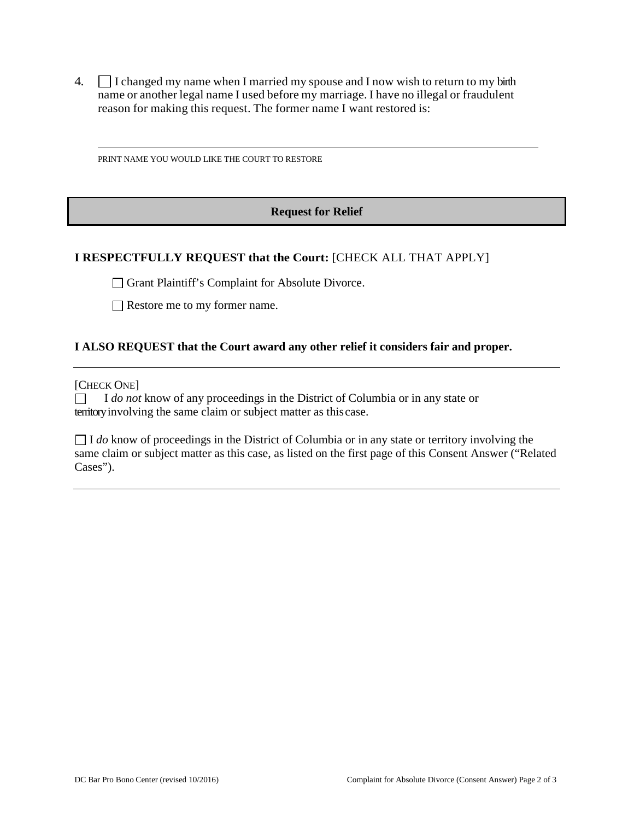4.  $\Box$  I changed my name when I married my spouse and I now wish to return to my birth name or another legal name I used before my marriage. I have no illegal or fraudulent name or another legal name I used before my marriage. I have no illegal or fraudulent reason for making this request. The former name I want restored is:

PRINT NAME YOU WOULD LIKE THE COURT TO RESTORE

### **Request for Relief**

### **I RESPECTFULLY REQUEST that the Court:** [CHECK ALL THAT APPLY]

Grant Plaintiff's Complaint for Absolute Divorce.

Restore me to my former name.

#### **I ALSO REQUEST that the Court award any other relief it considers fair and proper.**

[CHECK ONE]

.<br>□<br>tori territory involving the same claim or subject matter as this case. I *do not* know of any proceedings in the District of Columbia or in any state or

 same claim or subject matter as this case, as listed on the first page of this Consent Answer ("Related  $\Box$  I *do* know of proceedings in the District of Columbia or in any state or territory involving the same claim or subject matter as this case, as listed on the first page of this Consent Answer ("Pel-Cases").